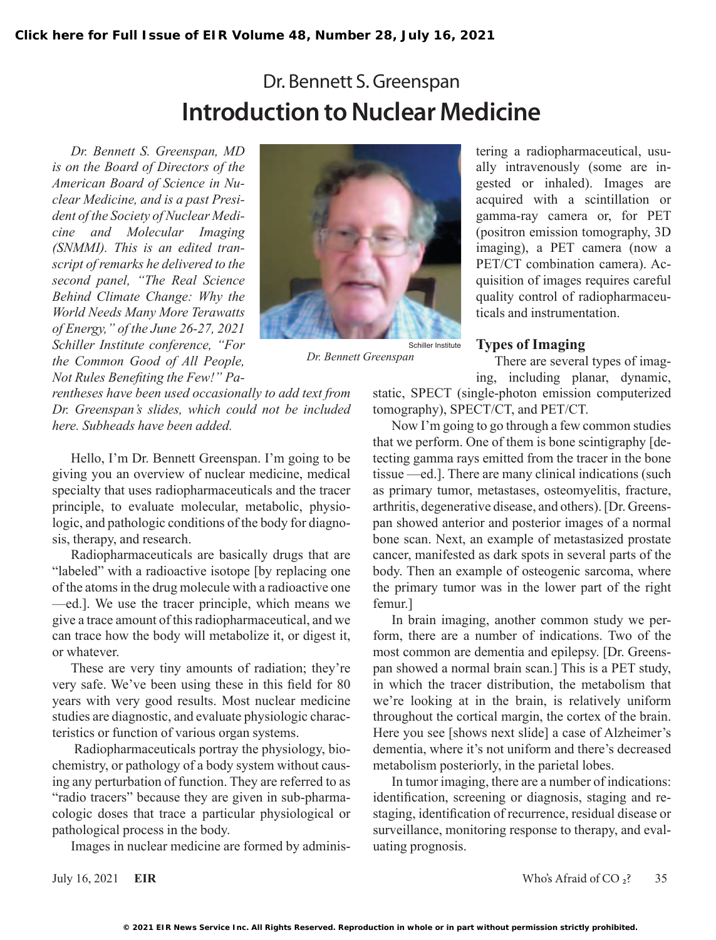# Dr. Bennett S. Greenspan **Introduction to Nuclear Medicine**

*Dr. Bennett S. Greenspan, MD is on the Board of Directors of the American Board of Science in Nuclear Medicine, and is a past President of the Society of Nuclear Medicine and Molecular Imaging (SNMMI). This is an edited transcript of remarks he delivered to the second panel, "The Real Science Behind Climate Change: Why the World Needs Many More Terawatts of Energy," of the June 26-27, 2021 Schiller Institute conference, "For the Common Good of All People, Not Rules Benefiting the Few!" Pa-*

*rentheses have been used occasionally to add text from Dr. Greenspan's slides, which could not be included here. Subheads have been added.*

Hello, I'm Dr. Bennett Greenspan. I'm going to be giving you an overview of nuclear medicine, medical specialty that uses radiopharmaceuticals and the tracer principle, to evaluate molecular, metabolic, physiologic, and pathologic conditions of the body for diagnosis, therapy, and research.

Radiopharmaceuticals are basically drugs that are "labeled" with a radioactive isotope [by replacing one of the atoms in the drug molecule with a radioactive one —ed.]. We use the tracer principle, which means we give a trace amount of this radiopharmaceutical, and we can trace how the body will metabolize it, or digest it, or whatever.

These are very tiny amounts of radiation; they're very safe. We've been using these in this field for 80 years with very good results. Most nuclear medicine studies are diagnostic, and evaluate physiologic characteristics or function of various organ systems.

 Radiopharmaceuticals portray the physiology, biochemistry, or pathology of a body system without causing any perturbation of function. They are referred to as "radio tracers" because they are given in sub-pharmacologic doses that trace a particular physiological or pathological process in the body.

Images in nuclear medicine are formed by adminis-



*Dr. Bennett Greenspan*

tering a radiopharmaceutical, usually intravenously (some are ingested or inhaled). Images are acquired with a scintillation or gamma-ray camera or, for PET (positron emission tomography, 3D imaging), a PET camera (now a PET/CT combination camera). Acquisition of images requires careful quality control of radiopharmaceuticals and instrumentation.

## **Types of Imaging**

There are several types of imaging, including planar, dynamic,

static, SPECT (single-photon emission computerized tomography), SPECT/CT, and PET/CT.

Now I'm going to go through a few common studies that we perform. One of them is bone scintigraphy [detecting gamma rays emitted from the tracer in the bone tissue —ed.]. There are many clinical indications (such as primary tumor, metastases, osteomyelitis, fracture, arthritis, degenerative disease, and others). [Dr. Greenspan showed anterior and posterior images of a normal bone scan. Next, an example of metastasized prostate cancer, manifested as dark spots in several parts of the body. Then an example of osteogenic sarcoma, where the primary tumor was in the lower part of the right femur.]

In brain imaging, another common study we perform, there are a number of indications. Two of the most common are dementia and epilepsy. [Dr. Greenspan showed a normal brain scan.] This is a PET study, in which the tracer distribution, the metabolism that we're looking at in the brain, is relatively uniform throughout the cortical margin, the cortex of the brain. Here you see [shows next slide] a case of Alzheimer's dementia, where it's not uniform and there's decreased metabolism posteriorly, in the parietal lobes.

In tumor imaging, there are a number of indications: identification, screening or diagnosis, staging and restaging, identification of recurrence, residual disease or surveillance, monitoring response to therapy, and evaluating prognosis.

July 16, 2021 **EIR** Who's Afraid of CO<sub>2</sub>? 35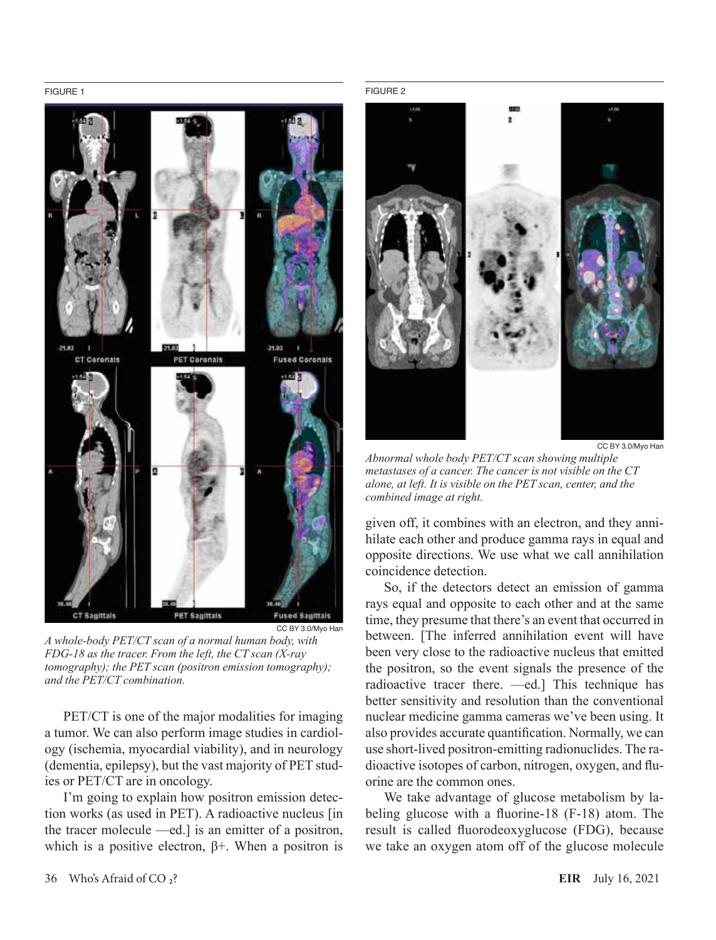#### FIGURE 1



*A whole-body PET/CT scan of a normal human body, with FDG-18 as the tracer. From the left, the CT scan (X-ray tomography); the PET scan (positron emission tomography); and the PET/CT combination.*

PET/CT is one of the major modalities for imaging a tumor. We can also perform image studies in cardiology (ischemia, myocardial viability), and in neurology (dementia, epilepsy), but the vast majority of PET studies or PET/CT are in oncology.

I'm going to explain how positron emission detection works (as used in PET). A radioactive nucleus [in the tracer molecule —ed.] is an emitter of a positron, which is a positive electron,  $\beta$ +. When a positron is

#### FIGURE 2



*Abnormal whole body PET/CT scan showing multiple metastases of a cancer. The cancer is not visible on the CT alone, at left. It is visible on the PET scan, center, and the combined image at right.*

given off, it combines with an electron, and they annihilate each other and produce gamma rays in equal and opposite directions. We use what we call annihilation coincidence detection.

So, if the detectors detect an emission of gamma rays equal and opposite to each other and at the same time, they presume that there's an event that occurred in between. [The inferred annihilation event will have been very close to the radioactive nucleus that emitted the positron, so the event signals the presence of the radioactive tracer there. —ed.] This technique has better sensitivity and resolution than the conventional nuclear medicine gamma cameras we've been using. It also provides accurate quantification. Normally, we can use short-lived positron-emitting radionuclides. The radioactive isotopes of carbon, nitrogen, oxygen, and fluorine are the common ones.

We take advantage of glucose metabolism by labeling glucose with a fluorine-18 (F-18) atom. The result is called fluorodeoxyglucose (FDG), because we take an oxygen atom off of the glucose molecule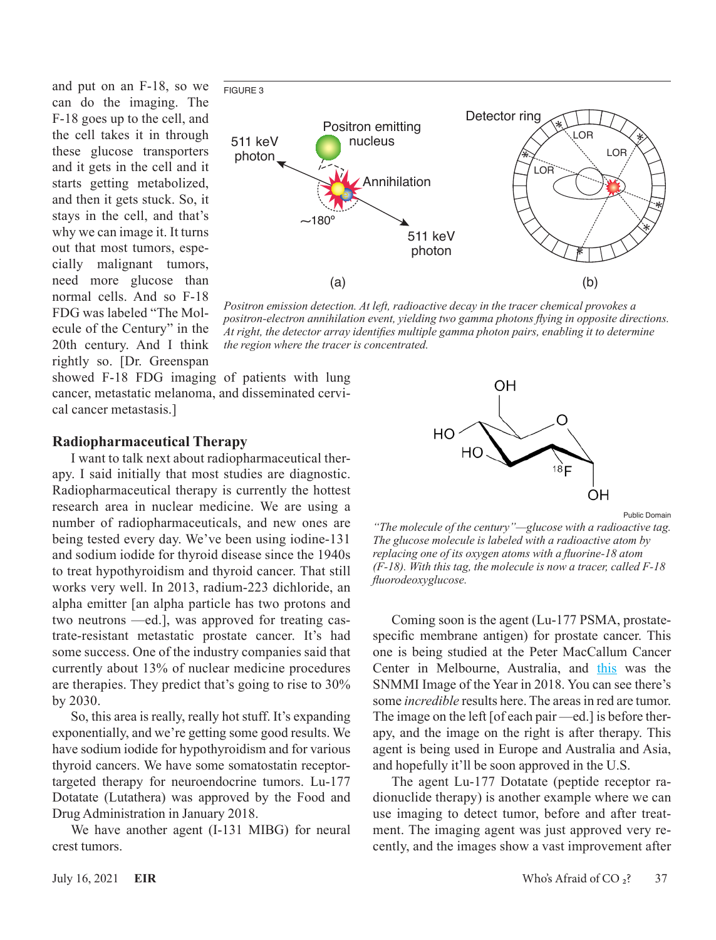and put on an F-18, so we can do the imaging. The F-18 goes up to the cell, and the cell takes it in through these glucose transporters and it gets in the cell and it starts getting metabolized, and then it gets stuck. So, it stays in the cell, and that's why we can image it. It turns out that most tumors, especially malignant tumors, need more glucose than normal cells. And so F-18 FDG was labeled "The Molecule of the Century" in the 20th century. And I think rightly so. [Dr. Greenspan



*Positron emission detection. At left, radioactive decay in the tracer chemical provokes a positron-electron annihilation event, yielding two gamma photons flying in opposite directions. At right, the detector array identifies multiple gamma photon pairs, enabling it to determine the region where the tracer is concentrated.*

showed F-18 FDG imaging of patients with lung cancer, metastatic melanoma, and disseminated cervical cancer metastasis.]

### **Radiopharmaceutical Therapy**

I want to talk next about radiopharmaceutical therapy. I said initially that most studies are diagnostic. Radiopharmaceutical therapy is currently the hottest research area in nuclear medicine. We are using a number of radiopharmaceuticals, and new ones are being tested every day. We've been using iodine-131 and sodium iodide for thyroid disease since the 1940s to treat hypothyroidism and thyroid cancer. That still works very well. In 2013, radium-223 dichloride, an alpha emitter [an alpha particle has two protons and two neutrons —ed.], was approved for treating castrate-resistant metastatic prostate cancer. It's had some success. One of the industry companies said that currently about 13% of nuclear medicine procedures are therapies. They predict that's going to rise to 30% by 2030.

So, this area is really, really hot stuff. It's expanding exponentially, and we're getting some good results. We have sodium iodide for hypothyroidism and for various thyroid cancers. We have some somatostatin receptortargeted therapy for neuroendocrine tumors. Lu-177 Dotatate (Lutathera) was approved by the Food and Drug Administration in January 2018.

We have another agent (I-131 MIBG) for neural crest tumors.





*"The molecule of the century"—glucose with a radioactive tag. The glucose molecule is labeled with a radioactive atom by replacing one of its oxygen atoms with a fluorine-18 atom (F-18). With this tag, the molecule is now a tracer, called F-18 fluorodeoxyglucose.*

Coming soon is the agent (Lu-177 PSMA, prostatespecific membrane antigen) for prostate cancer. This one is being studied at the Peter MacCallum Cancer Center in Melbourne, Australia, and [this](https://www.eurekalert.org/pub_releases/2018-06/sonm-sio062618.php) was the SNMMI Image of the Year in 2018. You can see there's some *incredible* results here. The areas in red are tumor. The image on the left [of each pair —ed.] is before therapy, and the image on the right is after therapy. This agent is being used in Europe and Australia and Asia, and hopefully it'll be soon approved in the U.S.

The agent Lu-177 Dotatate (peptide receptor radionuclide therapy) is another example where we can use imaging to detect tumor, before and after treatment. The imaging agent was just approved very recently, and the images show a vast improvement after